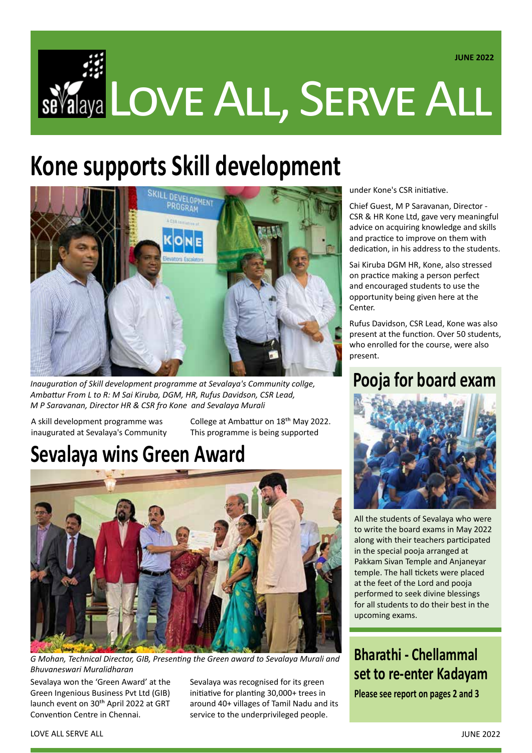# Se Valaya LOVE ALL, SERVE ALL  **JUNE 2022**

## **Kone supports Skill development**



*Inauguration of Skill development programme at Sevalaya's Community collge, Ambattur From L to R: M Sai Kiruba, DGM, HR, Rufus Davidson, CSR Lead, M P Saravanan, Director HR & CSR fro Kone and Sevalaya Murali*

A skill development programme was inaugurated at Sevalaya's Community College at Ambattur on 18th May 2022. This programme is being supported

## **Sevalaya wins Green Award**



*G Mohan, Technical Director, GIB, Presenting the Green award to Sevalaya Murali and Bhuvaneswari Muralidharan*

Sevalaya won the 'Green Award' at the Green Ingenious Business Pvt Ltd (GIB) launch event on 30<sup>th</sup> April 2022 at GRT Convention Centre in Chennai.

Sevalaya was recognised for its green initiative for planting 30,000+ trees in around 40+ villages of Tamil Nadu and its service to the underprivileged people.

under Kone's CSR initiative.

Chief Guest, M P Saravanan, Director - CSR & HR Kone Ltd, gave very meaningful advice on acquiring knowledge and skills and practice to improve on them with dedication, in his address to the students.

Sai Kiruba DGM HR, Kone, also stressed on practice making a person perfect and encouraged students to use the opportunity being given here at the Center.

Rufus Davidson, CSR Lead, Kone was also present at the function. Over 50 students, who enrolled for the course, were also present.

### **Pooja for board exam**



All the students of Sevalaya who were to write the board exams in May 2022 along with their teachers participated in the special pooja arranged at Pakkam Sivan Temple and Anjaneyar temple. The hall tickets were placed at the feet of the Lord and pooja performed to seek divine blessings for all students to do their best in the upcoming exams.

**Bharathi - Chellammal set to re-enter Kadayam**

**Please see report on pages 2 and 3**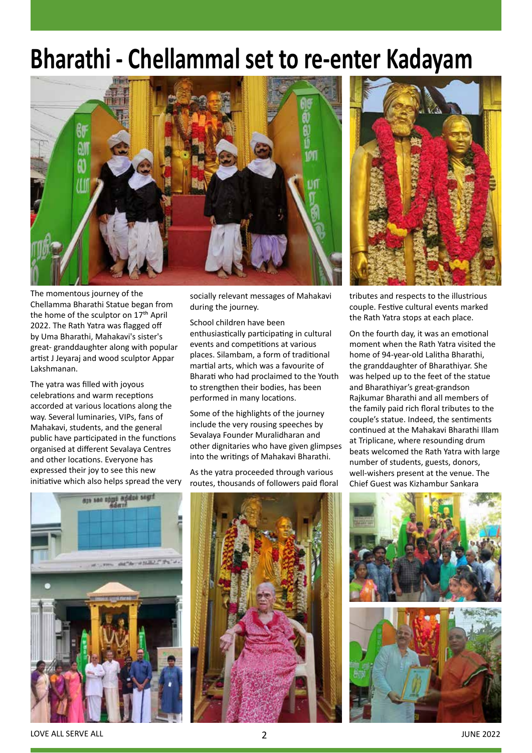## **Bharathi - Chellammal set to re-enter Kadayam**



The momentous journey of the Chellamma Bharathi Statue began from the home of the sculptor on 17<sup>th</sup> April 2022. The Rath Yatra was flagged off by Uma Bharathi, Mahakavi's sister's great- granddaughter along with popular artist J Jeyaraj and wood sculptor Appar Lakshmanan.

The yatra was filled with joyous celebrations and warm receptions accorded at various locations along the way. Several luminaries, VIPs, fans of Mahakavi, students, and the general public have participated in the functions organised at different Sevalaya Centres and other locations. Everyone has expressed their joy to see this new initiative which also helps spread the very socially relevant messages of Mahakavi during the journey.

School children have been enthusiastically participating in cultural events and competitions at various places. Silambam, a form of traditional martial arts, which was a favourite of Bharati who had proclaimed to the Youth to strengthen their bodies, has been performed in many locations.

Some of the highlights of the journey include the very rousing speeches by Sevalaya Founder Muralidharan and other dignitaries who have given glimpses into the writings of Mahakavi Bharathi.

As the yatra proceeded through various routes, thousands of followers paid floral



tributes and respects to the illustrious couple. Festive cultural events marked the Rath Yatra stops at each place.

On the fourth day, it was an emotional moment when the Rath Yatra visited the home of 94-year-old Lalitha Bharathi, the granddaughter of Bharathiyar. She was helped up to the feet of the statue and Bharathiyar's great-grandson Rajkumar Bharathi and all members of the family paid rich floral tributes to the couple's statue. Indeed, the sentiments continued at the Mahakavi Bharathi Illam at Triplicane, where resounding drum beats welcomed the Rath Yatra with large number of students, guests, donors, well-wishers present at the venue. The Chief Guest was Kizhambur Sankara







LOVE ALL SERVE ALL **EXECUTE 2022**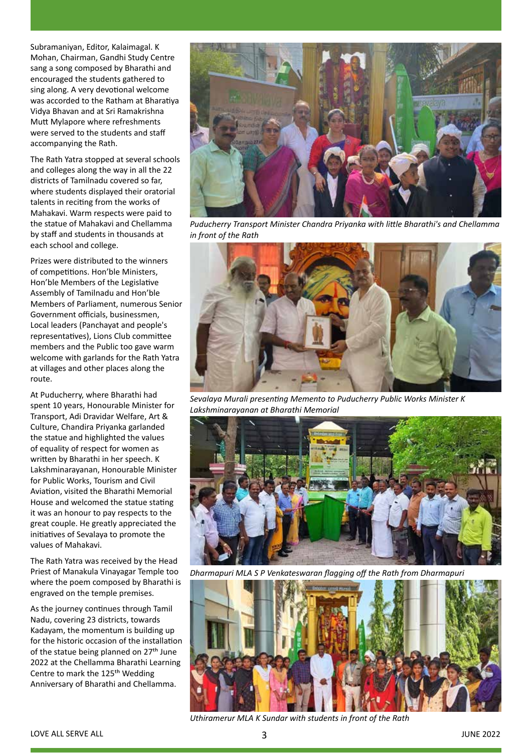Subramaniyan, Editor, Kalaimagal. K Mohan, Chairman, Gandhi Study Centre sang a song composed by Bharathi and encouraged the students gathered to sing along. A very devotional welcome was accorded to the Ratham at Bharatiya Vidya Bhavan and at Sri Ramakrishna Mutt Mylapore where refreshments were served to the students and staff accompanying the Rath.

The Rath Yatra stopped at several schools and colleges along the way in all the 22 districts of Tamilnadu covered so far, where students displayed their oratorial talents in reciting from the works of Mahakavi. Warm respects were paid to the statue of Mahakavi and Chellamma by staff and students in thousands at each school and college.

Prizes were distributed to the winners of competitions. Hon'ble Ministers, Hon'ble Members of the Legislative Assembly of Tamilnadu and Hon'ble Members of Parliament, numerous Senior Government officials, businessmen, Local leaders (Panchayat and people's representatives), Lions Club committee members and the Public too gave warm welcome with garlands for the Rath Yatra at villages and other places along the route.

At Puducherry, where Bharathi had spent 10 years, Honourable Minister for Transport, Adi Dravidar Welfare, Art & Culture, Chandira Priyanka garlanded the statue and highlighted the values of equality of respect for women as written by Bharathi in her speech. K Lakshminarayanan, Honourable Minister for Public Works, Tourism and Civil Aviation, visited the Bharathi Memorial House and welcomed the statue stating it was an honour to pay respects to the great couple. He greatly appreciated the initiatives of Sevalaya to promote the values of Mahakavi.

The Rath Yatra was received by the Head Priest of Manakula Vinayagar Temple too where the poem composed by Bharathi is engraved on the temple premises.

As the journey continues through Tamil Nadu, covering 23 districts, towards Kadayam, the momentum is building up for the historic occasion of the installation of the statue being planned on 27<sup>th</sup> June 2022 at the Chellamma Bharathi Learning Centre to mark the 125<sup>th</sup> Wedding Anniversary of Bharathi and Chellamma.



*Puducherry Transport Minister Chandra Priyanka with little Bharathi's and Chellamma in front of the Rath*



*Sevalaya Murali presenting Memento to Puducherry Public Works Minister K Lakshminarayanan at Bharathi Memorial*



*Dharmapuri MLA S P Venkateswaran flagging off the Rath from Dharmapuri*



*Uthiramerur MLA K Sundar with students in front of the Rath*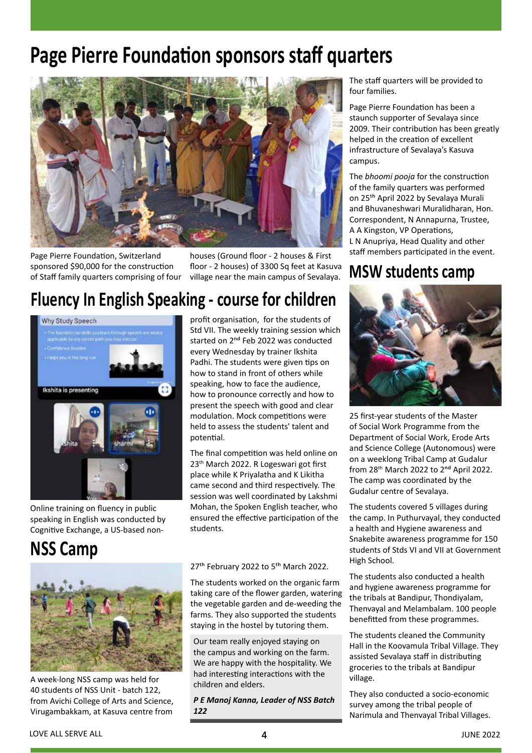## **Page Pierre Foundation sponsors staff quarters**



Page Pierre Foundation, Switzerland sponsored \$90,000 for the construction of Staff family quarters comprising of four houses (Ground floor - 2 houses & First floor - 2 houses) of 3300 Sq feet at Kasuva village near the main campus of Sevalaya.

## **Fluency In English Speaking - course for children**



Online training on fluency in public speaking in English was conducted by Cognitive Exchange, a US-based non-

### **NSS Camp**



A week-long NSS camp was held for 40 students of NSS Unit - batch 122, from Avichi College of Arts and Science, Virugambakkam, at Kasuva centre from profit organisation, for the students of Std VII. The weekly training session which started on 2<sup>nd</sup> Feb 2022 was conducted every Wednesday by trainer Ikshita Padhi. The students were given tips on how to stand in front of others while speaking, how to face the audience, how to pronounce correctly and how to present the speech with good and clear modulation. Mock competitions were held to assess the students' talent and potential.

The final competition was held online on 23th March 2022. R Logeswari got first place while K Priyalatha and K Likitha came second and third respectively. The session was well coordinated by Lakshmi Mohan, the Spoken English teacher, who ensured the effective participation of the students.

#### 27<sup>th</sup> February 2022 to 5<sup>th</sup> March 2022.

The students worked on the organic farm taking care of the flower garden, watering the vegetable garden and de-weeding the farms. They also supported the students staying in the hostel by tutoring them.

Our team really enjoyed staying on the campus and working on the farm. We are happy with the hospitality. We had interesting interactions with the children and elders.

*P E Manoj Kanna, Leader of NSS Batch 122*

The staff quarters will be provided to four families.

Page Pierre Foundation has been a staunch supporter of Sevalaya since 2009. Their contribution has been greatly helped in the creation of excellent infrastructure of Sevalaya's Kasuva campus.

The *bhoomi pooja* for the construction of the family quarters was performed on 25th April 2022 by Sevalaya Murali and Bhuvaneshwari Muralidharan, Hon. Correspondent, N Annapurna, Trustee, A A Kingston, VP Operations, L N Anupriya, Head Quality and other staff members participated in the event.

#### **MSW students camp**



25 first-year students of the Master of Social Work Programme from the Department of Social Work, Erode Arts and Science College (Autonomous) were on a weeklong Tribal Camp at Gudalur from 28<sup>th</sup> March 2022 to 2<sup>nd</sup> April 2022. The camp was coordinated by the Gudalur centre of Sevalaya.

The students covered 5 villages during the camp. In Puthurvayal, they conducted a health and Hygiene awareness and Snakebite awareness programme for 150 students of Stds VI and VII at Government High School.

The students also conducted a health and hygiene awareness programme for the tribals at Bandipur, Thondiyalam, Thenvayal and Melambalam. 100 people benefitted from these programmes.

The students cleaned the Community Hall in the Koovamula Tribal Village. They assisted Sevalaya staff in distributing groceries to the tribals at Bandipur village.

They also conducted a socio-economic survey among the tribal people of Narimula and Thenvayal Tribal Villages.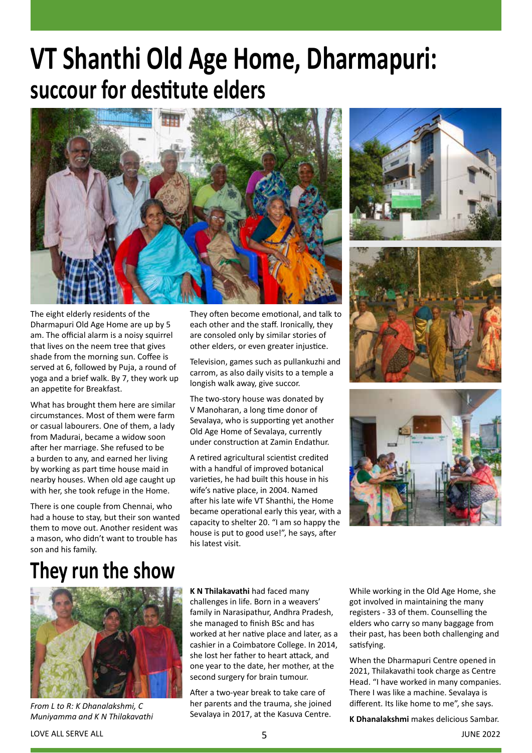# **VT Shanthi Old Age Home, Dharmapuri: succour for destitute elders**



The eight elderly residents of the Dharmapuri Old Age Home are up by 5 am. The official alarm is a noisy squirrel that lives on the neem tree that gives shade from the morning sun. Coffee is served at 6, followed by Puja, a round of yoga and a brief walk. By 7, they work up an appetite for Breakfast.

What has brought them here are similar circumstances. Most of them were farm or casual labourers. One of them, a lady from Madurai, became a widow soon after her marriage. She refused to be a burden to any, and earned her living by working as part time house maid in nearby houses. When old age caught up with her, she took refuge in the Home.

There is one couple from Chennai, who had a house to stay, but their son wanted them to move out. Another resident was a mason, who didn't want to trouble has son and his family.

They often become emotional, and talk to each other and the staff. Ironically, they are consoled only by similar stories of other elders, or even greater injustice.

Television, games such as pullankuzhi and carrom, as also daily visits to a temple a longish walk away, give succor.

The two-story house was donated by V Manoharan, a long time donor of Sevalaya, who is supporting yet another Old Age Home of Sevalaya, currently under construction at Zamin Endathur.

A retired agricultural scientist credited with a handful of improved botanical varieties, he had built this house in his wife's native place, in 2004. Named after his late wife VT Shanthi, the Home became operational early this year, with a capacity to shelter 20. "I am so happy the house is put to good use!", he says, after his latest visit.







## **They run the show**



*From L to R: K Dhanalakshmi, C Muniyamma and K N Thilakavathi*

**K N Thilakavathi** had faced many challenges in life. Born in a weavers' family in Narasipathur, Andhra Pradesh, she managed to finish BSc and has worked at her native place and later, as a cashier in a Coimbatore College. In 2014, she lost her father to heart attack, and one year to the date, her mother, at the second surgery for brain tumour.

After a two-year break to take care of her parents and the trauma, she joined Sevalaya in 2017, at the Kasuva Centre. While working in the Old Age Home, she got involved in maintaining the many registers - 33 of them. Counselling the elders who carry so many baggage from their past, has been both challenging and satisfying.

When the Dharmapuri Centre opened in 2021, Thilakavathi took charge as Centre Head. "I have worked in many companies. There I was like a machine. Sevalaya is different. Its like home to me", she says.

**K Dhanalakshmi** makes delicious Sambar.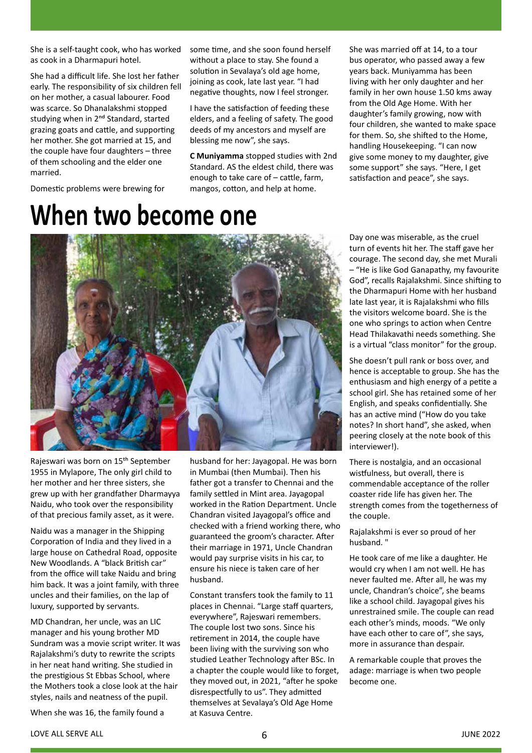She is a self-taught cook, who has worked as cook in a Dharmapuri hotel.

She had a difficult life. She lost her father early. The responsibility of six children fell on her mother, a casual labourer. Food was scarce. So Dhanalakshmi stopped studying when in 2<sup>nd</sup> Standard, started grazing goats and cattle, and supporting her mother. She got married at 15, and the couple have four daughters – three of them schooling and the elder one married.

Domestic problems were brewing for

#### some time, and she soon found herself without a place to stay. She found a solution in Sevalaya's old age home, joining as cook, late last year. "I had negative thoughts, now I feel stronger.

I have the satisfaction of feeding these elders, and a feeling of safety. The good deeds of my ancestors and myself are blessing me now", she says.

**C Muniyamma** stopped studies with 2nd Standard. AS the eldest child, there was enough to take care of – cattle, farm, mangos, cotton, and help at home.

She was married off at 14, to a tour bus operator, who passed away a few years back. Muniyamma has been living with her only daughter and her family in her own house 1.50 kms away from the Old Age Home. With her daughter's family growing, now with four children, she wanted to make space for them. So, she shifted to the Home, handling Housekeeping. "I can now give some money to my daughter, give some support" she says. "Here, I get satisfaction and peace", she says.



Rajeswari was born on 15th September 1955 in Mylapore, The only girl child to her mother and her three sisters, she grew up with her grandfather Dharmayya Naidu, who took over the responsibility of that precious family asset, as it were.

Naidu was a manager in the Shipping Corporation of India and they lived in a large house on Cathedral Road, opposite New Woodlands. A "black British car" from the office will take Naidu and bring him back. It was a joint family, with three uncles and their families, on the lap of luxury, supported by servants.

MD Chandran, her uncle, was an LIC manager and his young brother MD Sundram was a movie script writer. It was Rajalakshmi's duty to rewrite the scripts in her neat hand writing. She studied in the prestigious St Ebbas School, where the Mothers took a close look at the hair styles, nails and neatness of the pupil.

When she was 16, the family found a

husband for her: Jayagopal. He was born in Mumbai (then Mumbai). Then his father got a transfer to Chennai and the family settled in Mint area. Jayagopal worked in the Ration Department. Uncle Chandran visited Jayagopal's office and checked with a friend working there, who guaranteed the groom's character. After their marriage in 1971, Uncle Chandran would pay surprise visits in his car, to ensure his niece is taken care of her husband.

Constant transfers took the family to 11 places in Chennai. "Large staff quarters, everywhere", Rajeswari remembers. The couple lost two sons. Since his retirement in 2014, the couple have been living with the surviving son who studied Leather Technology after BSc. In a chapter the couple would like to forget, they moved out, in 2021, "after he spoke disrespectfully to us". They admitted themselves at Sevalaya's Old Age Home at Kasuva Centre.

Day one was miserable, as the cruel turn of events hit her. The staff gave her courage. The second day, she met Murali – "He is like God Ganapathy, my favourite God", recalls Rajalakshmi. Since shifting to the Dharmapuri Home with her husband late last year, it is Rajalakshmi who fills the visitors welcome board. She is the one who springs to action when Centre Head Thilakavathi needs something. She is a virtual "class monitor" for the group.

She doesn't pull rank or boss over, and hence is acceptable to group. She has the enthusiasm and high energy of a petite a school girl. She has retained some of her English, and speaks confidentially. She has an active mind ("How do you take notes? In short hand", she asked, when peering closely at the note book of this interviewer!).

There is nostalgia, and an occasional wistfulness, but overall, there is commendable acceptance of the roller coaster ride life has given her. The strength comes from the togetherness of the couple.

Rajalakshmi is ever so proud of her husband. "

He took care of me like a daughter. He would cry when I am not well. He has never faulted me. After all, he was my uncle, Chandran's choice", she beams like a school child. Jayagopal gives his unrestrained smile. The couple can read each other's minds, moods. "We only have each other to care of", she says, more in assurance than despair.

A remarkable couple that proves the adage: marriage is when two people become one.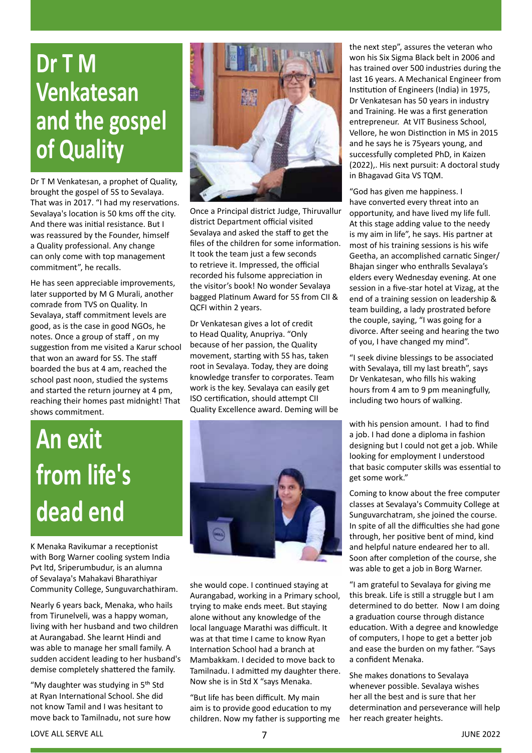# **Dr T M Venkatesan and the gospel of Quality**

Dr T M Venkatesan, a prophet of Quality, brought the gospel of 5S to Sevalaya. That was in 2017. "I had my reservations. Sevalaya's location is 50 kms off the city. And there was initial resistance. But I was reassured by the Founder, himself a Quality professional. Any change can only come with top management commitment", he recalls.

He has seen appreciable improvements, later supported by M G Murali, another comrade from TVS on Quality. In Sevalaya, staff commitment levels are good, as is the case in good NGOs, he notes. Once a group of staff , on my suggestion from me visited a Karur school that won an award for 5S. The staff boarded the bus at 4 am, reached the school past noon, studied the systems and started the return journey at 4 pm, reaching their homes past midnight! That shows commitment.



Once a Principal district Judge, Thiruvallur district Department official visited Sevalaya and asked the staff to get the files of the children for some information. It took the team just a few seconds to retrieve it. Impressed, the official recorded his fulsome appreciation in the visitor's book! No wonder Sevalaya bagged Platinum Award for 5S from CII & QCFI within 2 years.

Dr Venkatesan gives a lot of credit to Head Quality, Anupriya. "Only because of her passion, the Quality movement, starting with 5S has, taken root in Sevalaya. Today, they are doing knowledge transfer to corporates. Team work is the key. Sevalaya can easily get ISO certification, should attempt CII Quality Excellence award. Deming will be

# **An exit from life's dead end**

K Menaka Ravikumar a receptionist with Borg Warner cooling system India Pvt ltd, Sriperumbudur, is an alumna of Sevalaya's Mahakavi Bharathiyar Community College, Sunguvarchathiram.

Nearly 6 years back, Menaka, who hails from Tirunelveli, was a happy woman, living with her husband and two children at Aurangabad. She learnt Hindi and was able to manage her small family. A sudden accident leading to her husband's demise completely shattered the family.

"My daughter was studying in 5<sup>th</sup> Std at Ryan International School. She did not know Tamil and I was hesitant to move back to Tamilnadu, not sure how



she would cope. I continued staying at Aurangabad, working in a Primary school, trying to make ends meet. But staying alone without any knowledge of the local language Marathi was difficult. It was at that time I came to know Ryan Internation School had a branch at Mambakkam. I decided to move back to Tamilnadu. I admitted my daughter there. Now she is in Std X "says Menaka.

"But life has been difficult. My main aim is to provide good education to my children. Now my father is supporting me the next step", assures the veteran who won his Six Sigma Black belt in 2006 and has trained over 500 industries during the last 16 years. A Mechanical Engineer from Institution of Engineers (India) in 1975, Dr Venkatesan has 50 years in industry and Training. He was a first generation entrepreneur. At VIT Business School, Vellore, he won Distinction in MS in 2015 and he says he is 75years young, and successfully completed PhD, in Kaizen (2022),. His next pursuit: A doctoral study in Bhagavad Gita VS TQM.

"God has given me happiness. I have converted every threat into an opportunity, and have lived my life full. At this stage adding value to the needy is my aim in life", he says. His partner at most of his training sessions is his wife Geetha, an accomplished carnatic Singer/ Bhajan singer who enthralls Sevalaya's elders every Wednesday evening. At one session in a five-star hotel at Vizag, at the end of a training session on leadership & team building, a lady prostrated before the couple, saying, "I was going for a divorce. After seeing and hearing the two of you, I have changed my mind".

"I seek divine blessings to be associated with Sevalaya, till my last breath", says Dr Venkatesan, who fills his waking hours from 4 am to 9 pm meaningfully, including two hours of walking.

with his pension amount. I had to find a job. I had done a diploma in fashion designing but I could not get a job. While looking for employment I understood that basic computer skills was essential to get some work."

Coming to know about the free computer classes at Sevalaya's Commuity College at Sunguvarchatram, she joined the course. In spite of all the difficulties she had gone through, her positive bent of mind, kind and helpful nature endeared her to all. Soon after completion of the course, she was able to get a job in Borg Warner.

"I am grateful to Sevalaya for giving me this break. Life is still a struggle but I am determined to do better. Now I am doing a graduation course through distance education. With a degree and knowledge of computers, I hope to get a better job and ease the burden on my father. "Says a confident Menaka.

She makes donations to Sevalaya whenever possible. Sevalaya wishes her all the best and is sure that her determination and perseverance will help her reach greater heights.